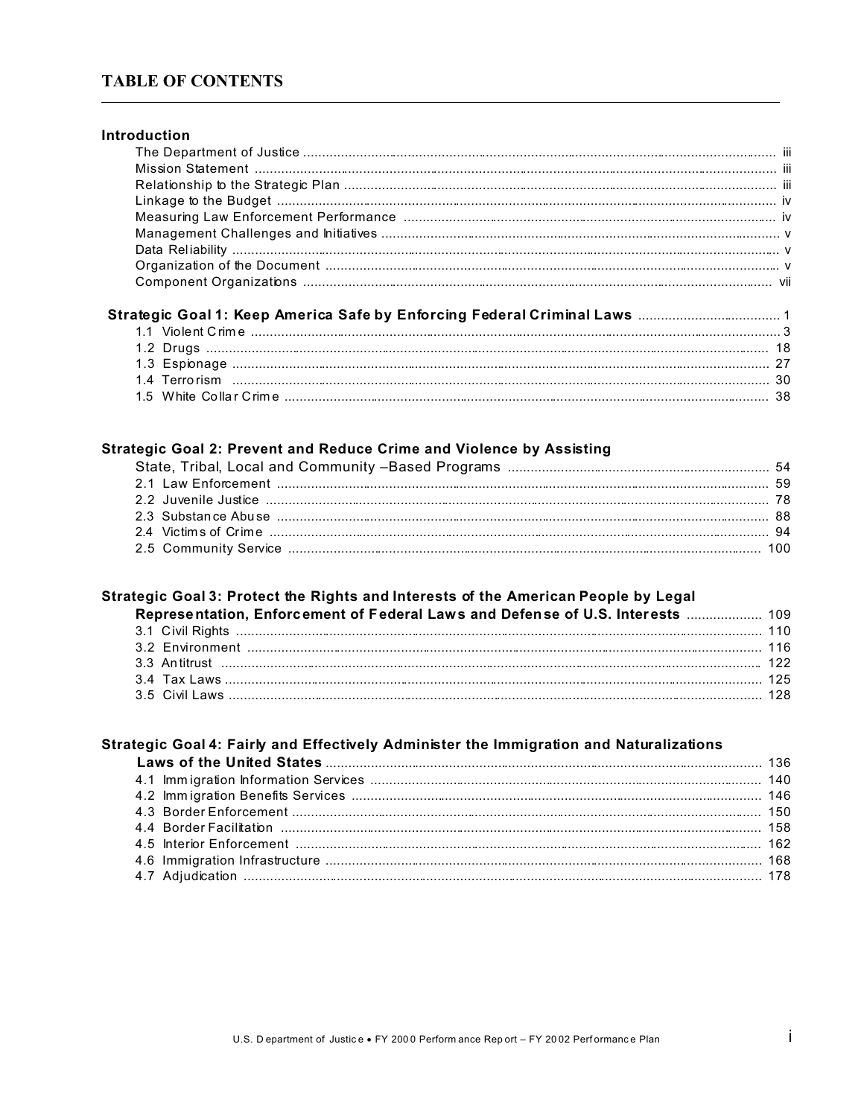# **TABLE OF CONTENTS**

| Introduction                                                         |  |
|----------------------------------------------------------------------|--|
|                                                                      |  |
|                                                                      |  |
|                                                                      |  |
|                                                                      |  |
|                                                                      |  |
|                                                                      |  |
|                                                                      |  |
|                                                                      |  |
|                                                                      |  |
|                                                                      |  |
|                                                                      |  |
|                                                                      |  |
|                                                                      |  |
|                                                                      |  |
|                                                                      |  |
|                                                                      |  |
|                                                                      |  |
|                                                                      |  |
| Strategic Goal 2: Prevent and Reduce Crime and Violence by Assisting |  |

## Strategic Goal 3: Protect the Rights and Interests of the American People by Legal

| Representation, Enforcement of Federal Laws and Defense of U.S. Interests  109 |  |
|--------------------------------------------------------------------------------|--|
|                                                                                |  |
|                                                                                |  |
|                                                                                |  |
|                                                                                |  |
|                                                                                |  |

### Strategic Goal 4: Fairly and Effectively Administer the Immigration and Naturalizations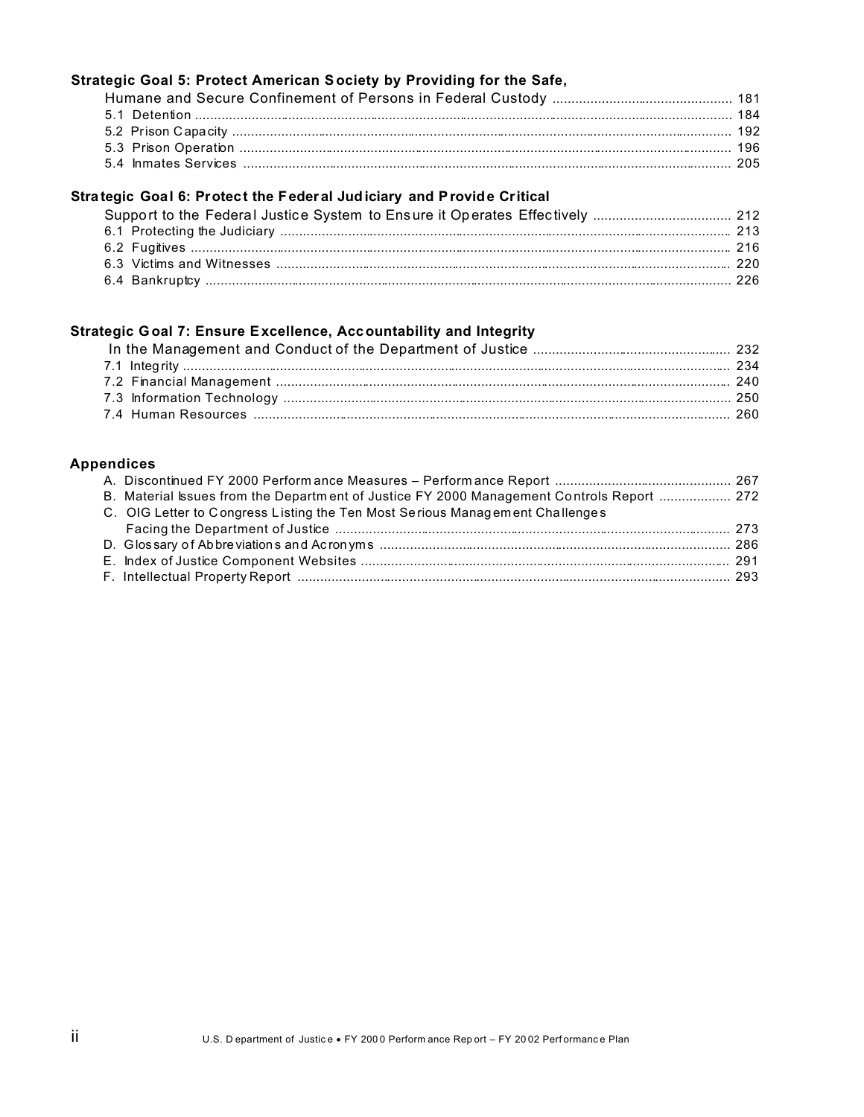## Strategic Goal 5: Protect American Society by Providing for the Safe,

## Strategic Goal 6: Protect the Federal Judiciary and Provide Critical

# Strategic Goal 7: Ensure Excellence, Accountability and Integrity

### **Appendices**

| B. Material Issues from the Department of Justice FY 2000 Management Controls Report  272 |  |
|-------------------------------------------------------------------------------------------|--|
| C. OIG Letter to Congress Listing the Ten Most Serious Management Challenges              |  |
|                                                                                           |  |
|                                                                                           |  |
|                                                                                           |  |
|                                                                                           |  |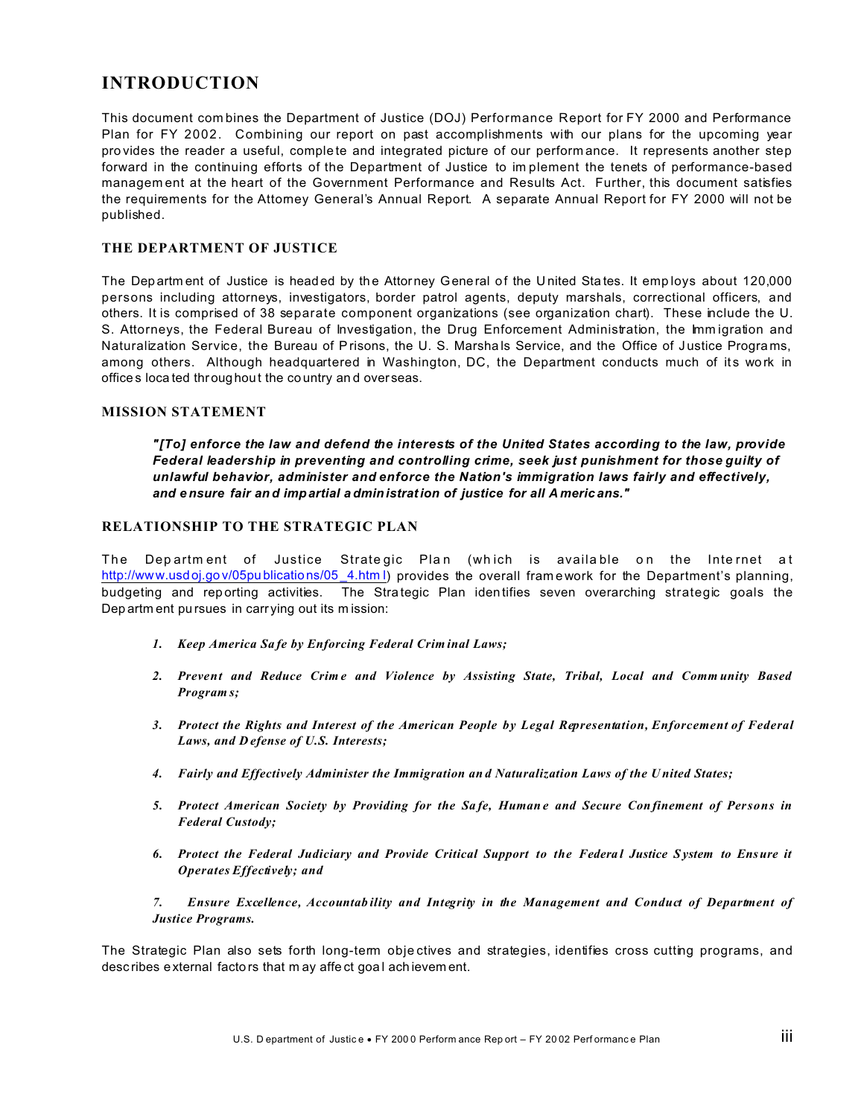# **INTRODUCTION**

This document combines the Department of Justice (DOJ) Performance Report for FY 2000 and Performance Plan for FY 2002. Combining our report on past accomplishments with our plans for the upcoming year provides the reader a useful, complete and integrated picture of our performance. It represents another step forward in the continuing efforts of the Department of Justice to implement the tenets of performance-based management at the heart of the Government Performance and Results Act. Further, this document satisfies the requirements for the Attomey General's Annual Report. A separate Annual Report for FY 2000 will not be published.

### THE DEPARTMENT OF JUSTICE

The Department of Justice is headed by the Attorney General of the United States. It employs about 120,000 persons including attorneys, investigators, border patrol agents, deputy marshals, correctional officers, and others. It is comprised of 38 separate component organizations (see organization chart). These include the U. S. Attorneys, the Federal Bureau of Investigation, the Drug Enforcement Administration, the Immigration and Naturalization Service, the Bureau of Prisons, the U. S. Marshals Service, and the Office of Justice Programs, among others. Although headquartered in Washington, DC, the Department conducts much of its work in offices located throughout the country and overseas.

#### **MISSION STATEMENT**

"[To] enforce the law and defend the interests of the United States according to the law, provide Federal leadership in preventing and controlling crime, seek just punishment for those guilty of unlawful behavior, administer and enforce the Nation's immigration laws fairly and effectively, and ensure fair and impartial administration of justice for all Americans."

#### RELATIONSHIP TO THE STRATEGIC PLAN

The Department of Justice Strategic Plan (which is available on the Internet at http://www.usdoj.gov/05publications/05\_4.html) provides the overall framework for the Department's planning, budgeting and reporting activities. The Strategic Plan identifies seven overarching strategic goals the Department pursues in carrying out its mission:

- 1. Keep America Safe by Enforcing Federal Criminal Laws;
- 2. Prevent and Reduce Crime and Violence by Assisting State, Tribal, Local and Community Based Program<sub>s</sub>;
- 3. Protect the Rights and Interest of the American People by Legal Representation, Enforcement of Federal Laws, and Defense of U.S. Interests;
- 4. Fairly and Effectively Administer the Immigration and Naturalization Laws of the United States;
- 5. Protect American Society by Providing for the Safe, Humane and Secure Confinement of Persons in **Federal Custody;**
- 6. Protect the Federal Judiciary and Provide Critical Support to the Federal Justice System to Ensure it Operates Effectively; and

Ensure Excellence, Accountability and Integrity in the Management and Conduct of Department of  $7.$ **Justice Programs.** 

The Strategic Plan also sets forth long-term objectives and strategies, identifies cross cutting programs, and describes external factors that may affect goal achievement.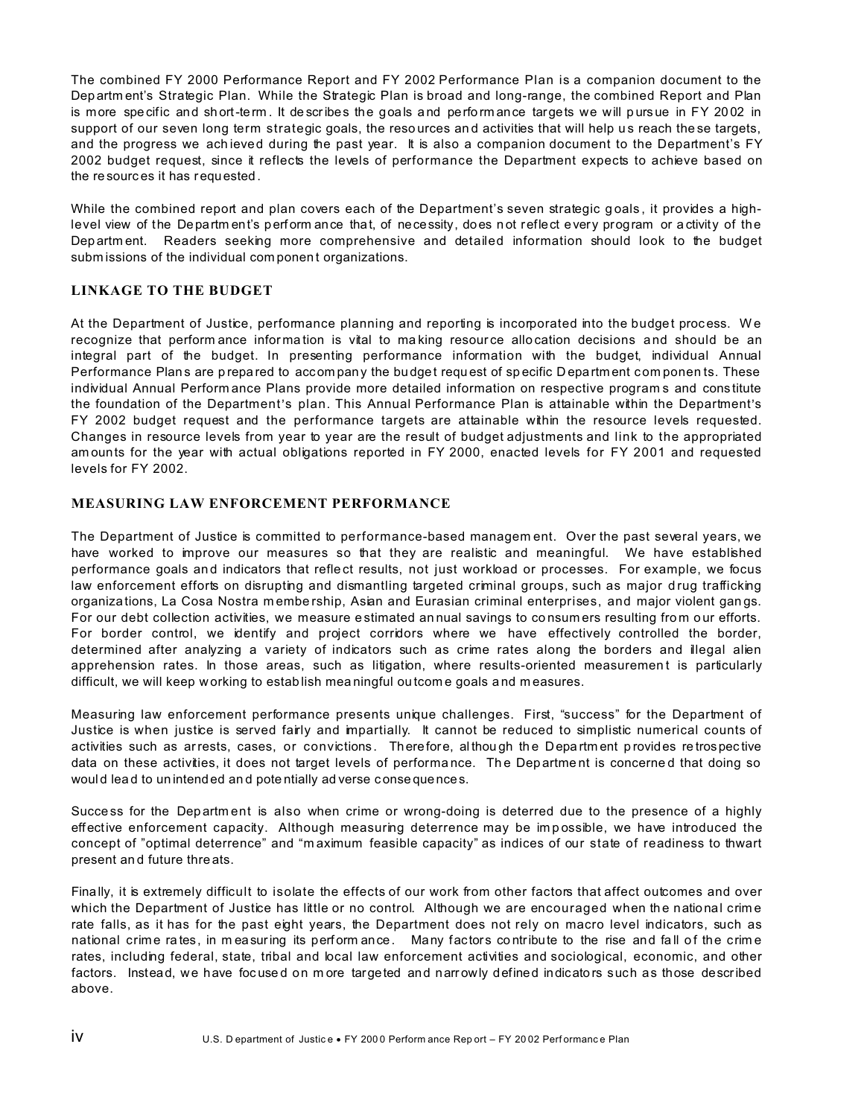The combined FY 2000 Performance Report and FY 2002 Performance Plan is a companion document to the Dep artm ent's Strategic Plan. While the Strategic Plan is broad and long-range, the combined Report and Plan is more spe cific and sh ort-term . It de scribes the goals a nd perfo rm ance targets we will p urs ue in FY 20 02 in support of our seven long term strategic goals, the resources and activities that will help us reach the se targets, and the progress we achieved during the past year. It is also a companion document to the Department's FY 2002 budget request, since it reflects the levels of performance the Department expects to achieve based on the re sourc es it has requested .

While the combined report and plan covers each of the Department's seven strategic goals, it provides a highlevel view of the Departm ent's perform ance that, of necessity, does not reflect every program or activity of the Dep artm ent. Readers seeking more comprehensive and detailed information should look to the budget subm issions of the individual component organizations.

### **LINKAGE TO THE BUDGET**

At the Department of Justice, performance planning and reporting is incorporated into the budget process. We recognize that perform ance information is vital to making resource allocation decisions and should be an integral part of the budget. In presenting performance information with the budget, individual Annual Performance Plans are prepared to accompany the budget request of specific Department components. These individual Annual Perform ance Plans provide more detailed information on respective program s and cons titute the foundation of the Department's plan. This Annual Performance Plan is attainable within the Department's FY 2002 budget request and the performance targets are attainable within the resource levels requested. Changes in resource levels from year to year are the result of budget adjustments and link to the appropriated am ounts for the year with actual obligations reported in FY 2000, enacted levels for FY 2001 and requested levels for FY 2002.

### **MEASURING LAW ENFORCEMENT PERFORMANCE**

The Department of Justice is committed to performance-based managem ent. Over the past several years, we have worked to improve our measures so that they are realistic and meaningful. We have established performance goals and indicators that reflect results, not just workload or processes. For example, we focus law enforcement efforts on disrupting and dismantling targeted criminal groups, such as major drug trafficking organiza tions, La Cosa Nostra m embe rship, Asian and Eurasian criminal enterprises, and major violent gan gs. For our debt collection activities, we measure estimated an nual savings to consumers resulting from our efforts. For border control, we identify and project corridors where we have effectively controlled the border, determined after analyzing a variety of indicators such as crime rates along the borders and illegal alien apprehension rates. In those areas, such as litigation, where results-oriented measurement is particularly difficult, we will keep w orking to estab lish mea ningful ou tcom e goals a nd m easures.

Measuring law enforcement performance presents unique challenges. First, "success" for the Department of Justice is when justice is served fairly and impartially. It cannot be reduced to simplistic numerical counts of activities such as arrests, cases, or convictions. Therefore, although the Department provides retrospective data on these activities, it does not target levels of performance. The Department is concerned that doing so would lead to unintended and potentially ad verse consequences.

Succe ss for the Department is also when crime or wrong-doing is deterred due to the presence of a highly effective enforcement capacity. Although measuring deterrence may be impossible, we have introduced the concept of "optimal deterrence" and "m aximum feasible capacity" as indices of our state of readiness to thwart present an d future thre ats.

Finally, it is extremely difficult to isolate the effects of our work from other factors that affect outcomes and over which the Department of Justice has little or no control. Although we are encouraged when the natio nal crim e rate falls, as it has for the past eight years, the Department does not rely on macro level indicators, such as national crime rates, in measuring its perform ance. Many factors contribute to the rise and fall of the crime rates, including federal, state, tribal and local law enforcement activities and sociological, economic, and other factors. Instead, we have foc use d on m ore targeted and narr owly defined indicators such as those described above.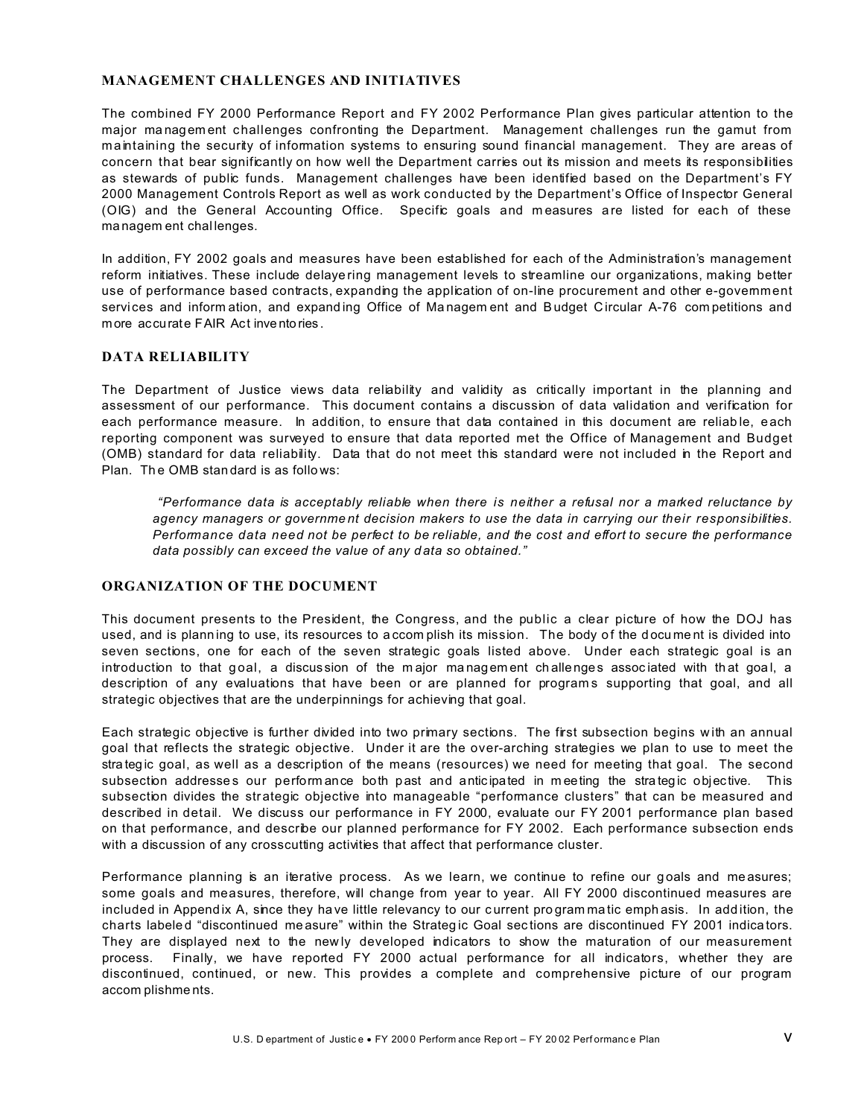#### **MANAGEMENT CHALLENGES AND INITIATIVES**

The combined FY 2000 Performance Report and FY 2002 Performance Plan gives particular attention to the major management challenges confronting the Department. Management challenges run the gamut from maintaining the security of information systems to ensuring sound financial management. They are areas of concern that bear significantly on how well the Department carries out its mission and meets its responsibilities as stewards of public funds. Management challenges have been identified based on the Department's FY 2000 Management Controls Report as well as work conducted by the Department's Office of Inspector General (OIG) and the General Accounting Office. Specific goals and measures are listed for each of these managem ent challenges.

In addition, FY 2002 goals and measures have been established for each of the Administration's management reform initiatives. These include delayering management levels to streamline our organizations, making better use of performance based contracts, expanding the application of on-line procurement and other e-govemment services and information, and expanding Office of Management and Budget Circular A-76 competitions and more accurate FAIR Act inventories.

#### **DATA RELIABILITY**

The Department of Justice views data reliability and validity as critically important in the planning and assessment of our performance. This document contains a discussion of data validation and verification for each performance measure. In addition, to ensure that data contained in this document are reliable, each reporting component was surveyed to ensure that data reported met the Office of Management and Budget (OMB) standard for data reliability. Data that do not meet this standard were not included in the Report and Plan. The OMB standard is as follows:

"Performance data is acceptably reliable when there is neither a refusal nor a marked reluctance by agency managers or government decision makers to use the data in carrying our their responsibilities. Performance data need not be perfect to be reliable, and the cost and effort to secure the performance data possibly can exceed the value of any data so obtained."

#### ORGANIZATION OF THE DOCUMENT

This document presents to the President, the Congress, and the public a clear picture of how the DOJ has used, and is planning to use, its resources to accomplish its mission. The body of the document is divided into seven sections, one for each of the seven strategic goals listed above. Under each strategic goal is an introduction to that goal, a discussion of the major management challenges associated with that goal, a description of any evaluations that have been or are planned for programs supporting that goal, and all strategic objectives that are the underpinnings for achieving that goal.

Each strategic objective is further divided into two primary sections. The first subsection begins with an annual goal that reflects the strategic objective. Under it are the over-arching strategies we plan to use to meet the strategic goal, as well as a description of the means (resources) we need for meeting that goal. The second subsection addresses our performance both past and anticipated in meeting the strategic objective. This subsection divides the strategic objective into manageable "performance clusters" that can be measured and described in detail. We discuss our performance in FY 2000, evaluate our FY 2001 performance plan based on that performance, and describe our planned performance for FY 2002. Each performance subsection ends with a discussion of any crosscutting activities that affect that performance cluster.

Performance planning is an iterative process. As we learn, we continue to refine our goals and measures; some goals and measures, therefore, will change from year to year. All FY 2000 discontinued measures are included in Appendix A, since they have little relevancy to our current programmatic emphasis. In addition, the charts labeled "discontinued measure" within the Strategic Goal sections are discontinued FY 2001 indicators. They are displayed next to the newly developed indicators to show the maturation of our measurement Finally, we have reported FY 2000 actual performance for all indicators, whether they are process. discontinued, continued, or new. This provides a complete and comprehensive picture of our program accom plishments.